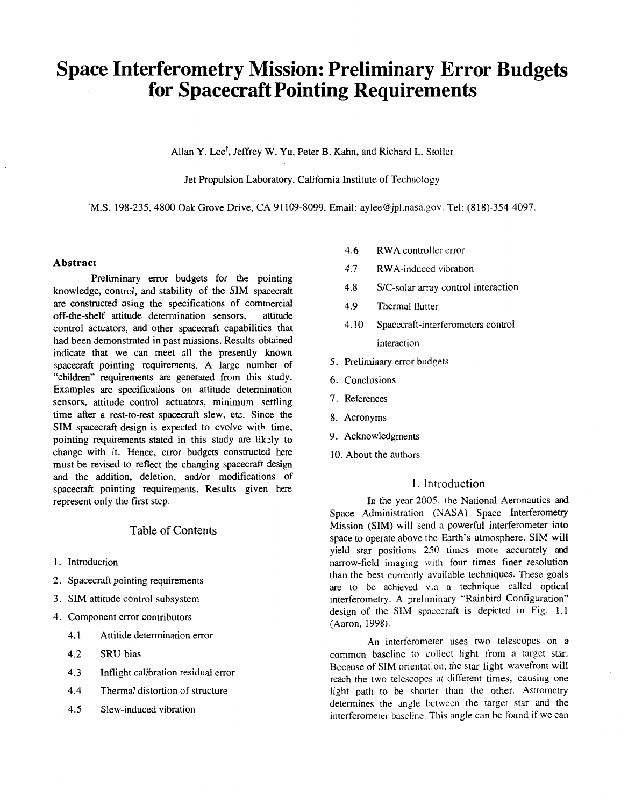# **Space Interferometry Mission: Preliminary Error Budgets for Spacecraft Pointing Requirements**

Allan Y. Lee<sup>t</sup>, Jeffrey W. Yu, Peter B. Kahn, and Richard L. Stoller

Jet Propulsion Laboratory, California Institute of Technology

+M.S. 198-235, 4800 Oak Grove Drive, CA 91109-8099. Email: [aylee@jpl.nasa.gov.](mailto:aylee@jpl.nasa.gov) Tel: (818)-354-4097,

#### **Abstract**

Preliminary error budgets for the pointing knowledge, control, and stability of the SIM spacecraft are constructed using the specifications of commercial<br>off-the-shelf attitude determination sensors, attitude off-the-shelf attitude determination sensors, control actuators, and other spacecraft capabilities that had been demonstrated in past missions. Results obtained indicate that we can meet all the presently known spacecraft pointing requirements. A large number of "children" requirements are generated from this study. Examples are specifications on attitude determination sensors, attitude control actuators, minimum settling time after a rest-to-rest spacecraft slew, etc. Since the SIM spacecraft design is expected to evolve with time, pointing requirements stated in this study are lik:ly to change with it. Hence, error budgets constructed here must be revised to reflect the changing spacecraft design and the addition, deletion, and/or modifications of spacecraft pointing requirements. Results given here represent only the first step.

# Table of Contents

- **1.**  Introduction
- 2. Spacecraft pointing requirements
- 3. SIM attitude control subsystem
- 4. Component error contributors
	- 4.1 Attitide determination error
	- 4.2 SRU bias
	- 4.3 Inflight calibration residual error
	- 4.4 Thermal distortion of structure
	- 4.5 Slew-induced vibration
- 4.6 RWA controller error
- 4.7 RWA-induced vibration
- 4.8 S/C-solar array control interaction
- 4.9 Thermal flutter
- 4.10 Spacecraft-interferometers control interaction
- 5. Preliminary error budgets
- *6.* Conclusions
- **7.** References
- 8. Acronyms
- 9. Acknowledgments
- 10. About the authors

# 1. Introduction

In the year 2005, the National Aeronautics and Space Administration (NASA) Space Interferometry Mission (SIM) will send a powerful interferometer into space to operate above the Earth's atmosphere. SIM will yield star positions 250 times more accurately and narrow-field imaging with four times finer resolution than the best currently available techniques. These goals are to be achieved via a technique called optical interferometry. A preliminary "Rainbird Configuration" design of the **SIM** spacecraft is depicted in [Fig.](#page-1-0) **1.1**  (Aaron, 1998).

An interferometer uses two telescopes on a common baseline to collect light from a target star. Because of SIM orientation. the star light wavefront will reach the two telescopes at different times, Causing one light path to be shorter than the other. Astrometry determines the angle bctwcen the target star and the interferometer bascline. This angle can be found if we can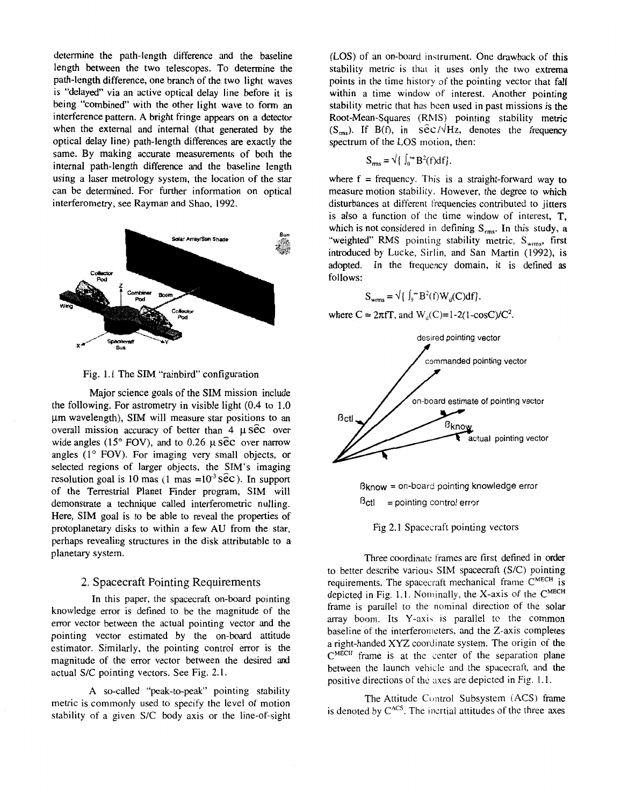<span id="page-1-0"></span>determine the path-length difference and the baseline length between the two telescopes. To determine the path-length difference, one branch of the two light waves is "delayed" via an active optical delay line before it is being "combined" with the other light wave to form an interference pattern. A bright fringe appears on a detector when the external and internal (that generated by the optical delay line) path-length differences are exactly the same. By making accurate measurements of both the internal path-length difference and the baseline length using a laser metrology system, the location of the star can be determined. For further information on optical interferometry, see Rayman and Shao, 1992.



Fig. 1.1 The **SIM** "rainbird" configuration

Major science goals of the SIM mission include the following. For astrometry in visible light (0.4 to 1.0 pm wavelength), SIM will measure star positions to an overall mission accuracy of better than  $4 \mu \widehat{sec}$  over wide angles (15° FOV), and to 0.26  $\mu$  *Sec* over narrow angles **(1"** FOV). For imaging very small objects, or selected regions of larger objects, the SIM's imaging resolution goal is 10 mas  $(1 \text{ mas} = 10^{-3} \text{ s\^ec})$ . In support of the Terrestrial Planet Finder program, SIM will demonstrate a technique called interferometric nulling. Here, SIM goal is to be able to reveal the properties of protoplanetary disks to within a few AU from the star, perhaps revealing structures in the disk attributable to a planetary system.

## **2.** Spacecraft Pointing Requirements

In this paper, the spacecraft on-board pointing knowledge error is defined to be the magnitude of the error vector between the actual pointing vector and the pointing vector estimated by the on-board attitude estimator. Similarly, the pointing control error is the magnitude of the error vector between the desired and actual S/C pointing vectors. See [Fig. 2.1.](#page-2-0) 

A so-called "peak-to-peak" pointing stability metric is commonly used to specify the level of motion stability of a given S/C body axis or the line-of-sight (LOS) of an on-board instrument. One drawback of this stability metric is that it uses only the two extrema points in the time history of the pointing vector that fall within a time window of interest. Another pointing stability metric that has been used in past missions is the Root-Mean-Squares (RMS) pointing stability metric (S<sub>rms</sub>). If B(f), in  $S\rightarrow$   $\angle$  Hz, denotes the frequency spectrum of the LOS motion, then:

$$
S_{\rm rms} = \sqrt{\int_0^{\infty} B^2(f) df}.
$$

where  $f = frequency$ . This is a straight-forward way to measure motion stability. However, the degree to which disturbances at different frequencies contributed to jitters is also a function of the time window of interest,  $T$ , which is not considered in defining  $S_{rms}$ . In this study, a "weighted" RMS pointing stability metric,  $S_{\text{wrms}}$ , first introduced by Lucke, Sirlin, and San Martin (1992), is adopted. **In** the frequency domain, it is defined as follows:

$$
S_{\text{wrms}} = \sqrt{\left\{ \int_0^\infty B^2(f) W_d(C) df \right\}}.
$$

where  $C = 2\pi f T$ , and  $W_d(C)=1-2(1-cosC)/C^2$ .



 $B$ know = on-board pointing knowledge error  $B<sub>cti</sub>$  = pointing control error

[Fig 2.1](#page-2-0) Spacecraft pointing vectors

Three coordinate frames are first defined in order to better describe various SIM spacecraft (S/C) pointing requirements. The spacecraft mechanical frame CMECH is depicted in Fig. 1.1. Nominally, the X-axis of the C<sup>MECH</sup> frame is parallel to the nominal direction of the solar array boom. Its Y-axis is parallel to the common baseline of the interferorneters, and the Z-axis completes a right-handed XYZ coordinate system. The origin of the  $C<sup>MECH</sup>$  frame is at the center of the separation plane between the launch vehicle and the spacecraft, and the positive directions of the axes are depicted in Fig. 1.1.

The Attitude Control Subsystem (ACS) frame is denoted by  $C^{ACS}$ . The incrtial attitudes of the three axes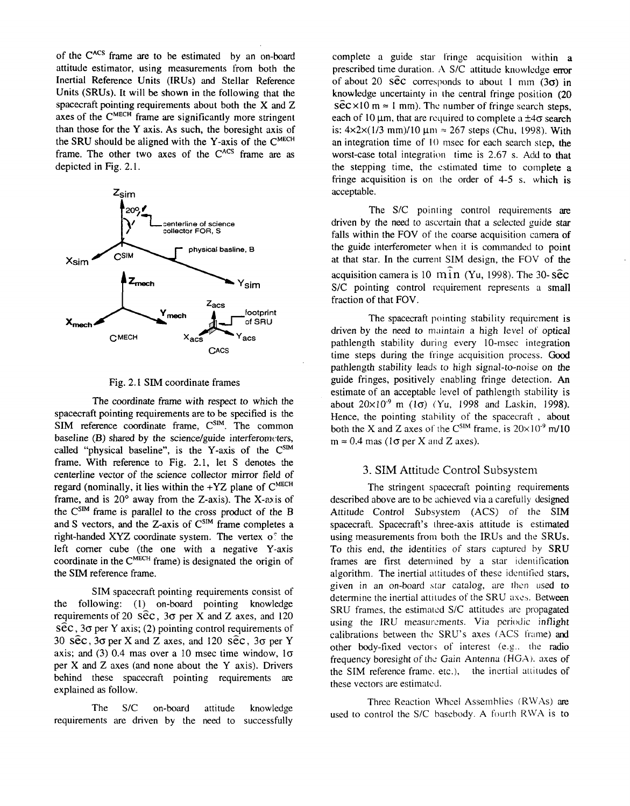<span id="page-2-0"></span>of the **CAcs** frame are to be estimated by an on-board attitude estimator, using measurements from both the Inertial Reference Units (IRUs) and Stellar Reference Units (SRUs). It will be shown in the following that the spacecraft pointing requirements about both the X and Z axes of the **CMECH** frame are significantly more stringent than those for the Y axis. **As** such, the boresight axis of the SRU should be aligned with the Y-axis of the **CMECH**  frame. The other two axes of the **CACS** frame are as depicted in Fig. 2.1.



#### Fig. 2.1 **SIM** coordinate frames

The coordinate frame with respect to which the spacecraft pointing requirements are to be specified is the SIM reference coordinate frame, C<sup>SIM</sup>. The common baseline  $(B)$  shared by the science/guide interferometers, called "physical baseline", is the Y-axis of the C<sup>SLM</sup> frame. With reference to Fig. 2.1, let S denotes the centerline vector of the science collector mirror field of regard (nominally, it lies within the +YZ plane of **CMECH**  frame, and is  $20^{\circ}$  away from the Z-axis). The X-axis of the **CS"** frame is parallel *to* the cross product of the B and *S* vectors, and the Z-axis of  $C^{SIM}$  frame completes a right-handed XYZ coordinate system. The vertex of the left comer cube (the one with a negative Y-axis coordinate in the **CMECH** frame) is designated the origin of the SIM reference frame.

SIM spacecraft pointing requirements consist of the following: **(1)** on-board pointing knowledge requirements of 20  $\vec{sec}$ , 3 $\sigma$  per X and Z axes, and 120 *SEC, 30* per Y axis; (2) pointing control requirements of 30 *SEC,* 30 per **X** and Z axes, and 120 *Sk,* 30 per Y axis; and (3) 0.4 mas over a 10 msec time window,  $1\sigma$ per X and Z axes (and none about the Y axis). Drivers behind these spacecraft pointing requirements are explained as follow.

The **SIC** on-board attitude knowledge requirements are driven by the need to successfully

complete a guide star fringe acquisition within a prescribed time duration. A S/C attitude knowledge error of about 20  $\hat{\text{sec}}$  corresponds to about 1 mm (3 $\sigma$ ) in knowledge uncertainty **in** the central fringe position **(20**   $s\bar{e}c \times 10$  m  $\approx 1$  mm). The number of fringe search steps, each of 10  $\mu$ m, that are required to complete a  $\pm 4\sigma$  search is:  $4 \times 2 \times (1/3 \text{ mm})/10 \mu \text{m} \approx 267 \text{ steps}$  (Chu, 1998). With an integration time of IO msec for each search step, the worst-case total integration time is 2.67 s. Add to that the stepping time, the estimated time to complete a fringe acquisition is on the order of 4-5 s. which **is**  acceptable.

The S/C pointing control requirements are driven by the need to ascertain that a selected guide star falls within the FOV of the coarse acquisition camera of the guide interferometer when it is commanded to point at that star. In the current SIM design, the FOV of the acquisition camera is  $10$  min (Yu,  $1998$ ). The  $30 - s\hat{c}c$ S/C pointing control requirement represents a small fraction of that FOV.

The spacecraft pointing stability requirement is driven by the need to maintain a high level of optical pathlength stability during every 10-msec integration time steps during the fringe acquisition process. Good pathlength stability leads to high signal-to-noise on the guide fringes, positively enabling fringe detection. **An**  estimate of an acceptable level of pathlength stability is about  $20\times10^{-9}$  m (1 $\sigma$ ) (Yu, 1998 and Laskin, 1998). Hence, the pointing stability of the spacecraft , about both the X and Z axes of the  $C^{SIM}$  frame, is  $20 \times 10^{-9}$  m/10  $m \approx 0.4$  mas ( $1\sigma$  per X and Z axes).

### 3. SIM Attitude Control Subsystem

The stringent spacecraft pointing requirements described above are to be achieved via a carefully designed Attitude Control Subsystem (ACS) of the **SIM**  spacecraft. Spacecraft's three-axis attitude is estimated using measurements from both the IRUs and the SRUs. To this end, the identities of stars captured by SRU frames are first determined by a star identification algorithm. The inertial attitudes of these identified stars, given in an on-board star catalog, are then used to determine the inertial attitudes of the SRU axes. Between SRU frames, the estimated S/C attitudes are propagated using the IRU measurements. Via periodic inflight calibrations between the SRU's axes (ACS frame) and other body-fixed vector5 of interest *(e.2..* the radio frequency boresight of the Gain Antenna (HGA). axes of the SIM reference frame. etc.), the inertial attitudes of these vectors are estimated.

Three Reaction Wheel Assemblies (RWAs) are used to control the S/C basebody. **A** fourth RWA is to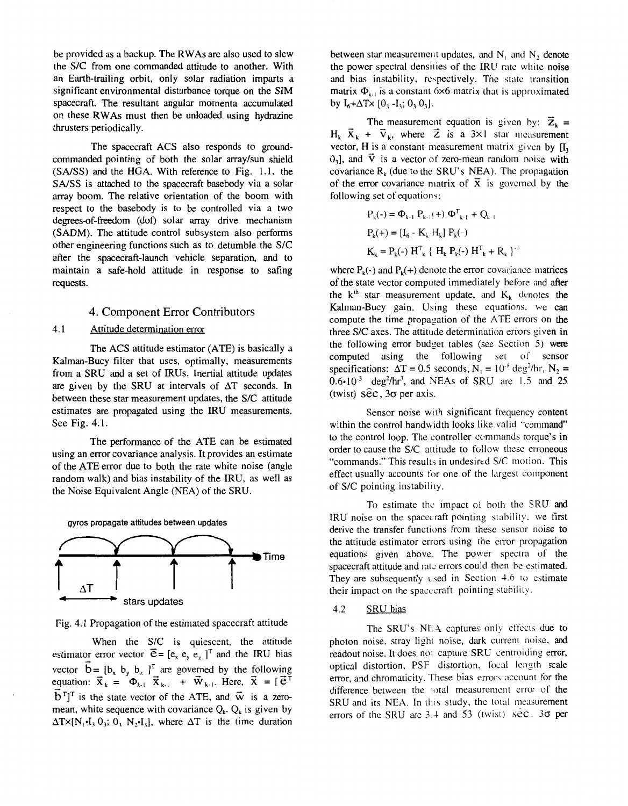be provided as a backup. The RWAs are also used to slew the SIC from one commanded attitude to another. With an Earth-trailing orbit, only solar radiation imparts a significant environmental disturbance torque on the **SIM**  spacecraft. The resultant angular momenta accumulated on these RWAs must then be unloaded using hydrazine thrusters periodically.

The spacecraft ACS also responds to groundcommanded pointing of both the solar array/sun shield *(SMSS)* and the HGA. With reference to Fig. **1** .l, the *SMSS* is attached to the spacecraft basebody via a solar array boom. The relative orientation of the boom with respect to the basebody is to be controlled via a two degrees-of-freedom (dof) solar array drive mechanism (SADM). The attitude control subsystem also performs other engineering functions such as to detumble the S/C after the spacecraft-launch vehicle separation, and to maintain a safe-hold attitude in response to safing requests.

## **4.** Component Error Contributors

#### 4.1 Attitude determination error

The ACS attitude estimator (ATE) is basically a Kalman-Bucy filter that uses, optimally, measurements from a SRU and a set of IRUs. Inertial attitude updates are given by the SRU at intervals of  $\Delta T$  seconds. In between these star measurement updates, the S/C attitude estimates are propagated using the IRU measurements. See Fig. 4.1.

The performance of the ATE can be estimated using an error covariance analysis. It provides an estimate of the ATE error due to both the rate white noise (angle random walk) and bias instability of the IRU, as well as the Noise Equivalent Angle (NEA) of the SRU.



Fig. 4.1 Propagation of the estimated spacecraft attitude

When the S/C is quiescent, the attitude estimator error vector  $\vec{e} = [e_x, e_y, e_z]^\text{T}$  and the IRU bias vector  $\mathbf{b} = \begin{bmatrix} b_x & b_y & b_z \end{bmatrix}^T$  are governed by the following vector  $\vec{b} = [b_x \ b_y \ b_z]^T$  are governed by the following equation:  $\vec{x}_k = \Phi_{k-1} \ \vec{x}_{k-1} + \vec{w}_{k-1}$ . Here,  $\vec{x} = [\vec{e}^T$  $\vec{b}^T$ <sup>T</sup> is the state vector of the ATE, and  $\vec{w}$  is a zeromean, white sequence with covariance  $Q_k$ .  $Q_k$  is given by  $\Delta T \times [N_1 \cdot I, 0_1; 0, N_2 \cdot I_3]$ , where  $\Delta T$  is the time duration .<br>เว็บ<br>เว็บ

between star measurement updates, and  $N_1$  and  $N_2$  denote the power spectral densities of the IRU rate white noise and bias instability, respectively. The state transition matrix  $\Phi_{k,i}$  is a constant 6x6 matrix that is approximated by  $I_6 + \Delta T \times [0_3 - I_3; 0, 0_3]$ .

 $\times$  {0<sub>3</sub> -1<sub>3</sub>; 0<sub>3</sub> 0<sub>3</sub>].<br>The measurement equation is given by:  $\overrightarrow{z}_k$  =  $H_k$ ,  $\vec{X}_k$  +  $\vec{V}_k$ , where  $\vec{Z}$  is a 3×1 star measurement vector,  $H$  is a constant measurement matrix given by  $\Pi_2$  $0,1$ , and  $\vec{v}$  is a vector of zero-mean random noise with covariance  $R_k$  (due to the SRU's NEA). The propagation of the error covariance matrix of  $\vec{x}$  is governed by the following set of equations:

$$
P_{k}(\cdot) = \Phi_{k-1} P_{k-1}(\cdot) \Phi_{k-1}^{T} + Q_{k-1}
$$
  
\n
$$
P_{k}(\cdot) = [I_{6} - K_{k} H_{k}] P_{k}(\cdot)
$$
  
\n
$$
K_{k} = P_{k}(\cdot) H_{k}^{T} \{ H_{k} P_{k}(\cdot) H_{k}^{T} + R_{k} \}
$$

where  $P_k(-)$  and  $P_k(+)$  denote the error covariance matrices of the state vector computed immediately before and after the  $k<sup>th</sup>$  star measurement update, and  $K<sub>k</sub>$  denotes the Kalman-Bucy gain. Using these equations. we can compute the time propagation of the ATE errors on the three S/C axes. The attitude determination errors given in the following error budget tables (see Section 5) were computed using the following sct of sensor specifications:  $\Delta T = 0.5$  seconds,  $N_1 = 10^{-8}$  deg<sup>2</sup>/hr,  $N_2 =$ 0.6\*10-3 deg2/hr', and NEAs of SRU are I .5 and **25**  (twist) *SEC, 30* per axis.

Sensor noise with significant frequency content within the control bandwidth looks like valid "command" to the control loop. The controller ccmmands torque's in order to cause the S/C attitude to follow these erroneous "commands." This results in undesired S/C motion. This effect usually accounts for one of the largest component of S/C pointing instability.

To estimate thc impact oi both the SRU and IRU noise on the spacecraft pointing stability. we first derive the transfer functions from these sensor noise to the attitude estimator errors using the error propagation equations given above. The power spectra of the spacecraft attitude and rate errors could then be estimated. They are subsequently used in Section 4.6 to estimate their impact on the spacccraft pointing stability.

# 4.2 SRU bias

The SRU's NEA captures only effects due to photon noise, stray light noise, dark current noise, and readout noise. It does not capture SRU centroiding error, optical distortion. PSF distortion, focal length scale error, and chromaticity. These bias errors account for the difference between the total measurement error of the SRU and its NEA. In this study, the total measurement errors of the SRU are  $3.4$  and  $53$  (twist)  $S\hat{e}c$ .  $3\sigma$  per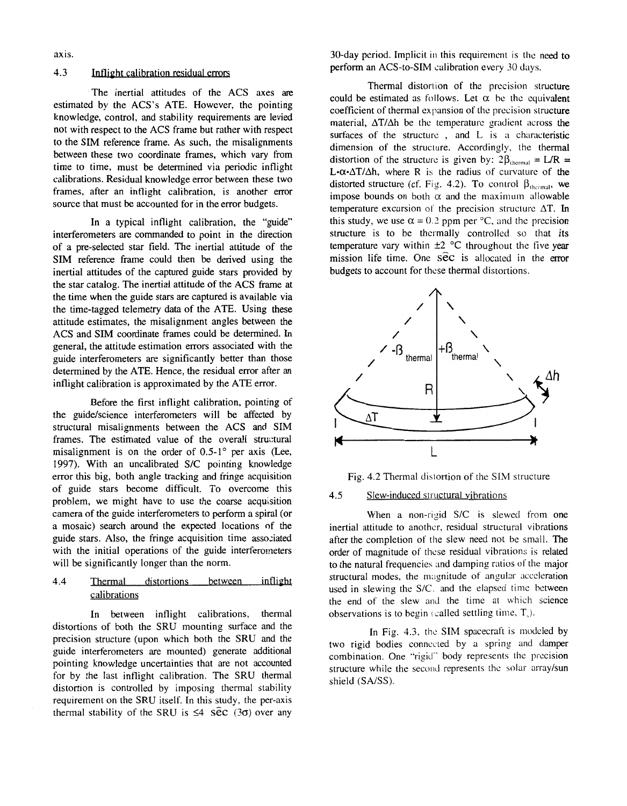axis.

# 4.3 Inflight calibration residual errors

The inertial attitudes of the ACS axes are estimated by the ACS's ATE. However, the pointing knowledge, control, and stability requirements are levied not with respect to the ACS frame but rather with respect to the SIM reference frame. As such, the misalignments between these two coordinate frames, which vary from time to time, must be determined via periodic inflight calibrations. Residual knowledge error between these two frames, after an inflight calibration, is another error source that must be accounted for in the error budgets.

In a typical inflight calibration, the "guide" interferometers are commanded to point in the direction of a pre-selected star field. The inertial attitude of the SIM reference frame could then be derived using the inertial attitudes of the captured guide stars provided by the star catalog. The inertial attitude of the ACS frame at the time when the guide stars are captured is available via the time-tagged telemetry data of the ATE. Using these attitude estimates, the misalignment angles between the ACS and **SIM** coordinate frames could be determined. In general, the attitude estimation errors associated with the guide interferometers are significantly better than those determined by the ATE. Hence, the residual error after an inflight calibration is approximated by the ATE error.

Before the first inflight calibration, pointing of the guide/science interferometers will be affected by structural misalignments between the ACS and SIM frames. The estimated value of the overall structural misalignment is on the order of  $0.5{\text -}1^{\circ}$  per axis (Lee, 1997). With an uncalibrated S/C pointing knowledge error this big, both angle tracking and fringe acquisition of guide stars become difficult. To overcome this problem, we might have to use the coarse acquisition camera of the guide interferometers to perform a spiral (or a mosaic) search around the expected locations of the guide stars. Also, the fringe acquisition time associated with the initial operations of the guide interferometers will be significantly longer than the norm.

# 4.4 Thermal distortions between inflight calibrations

In between inflight calibrations, thermal distortions of both the SRU mounting surface and the precision structure (upon which both the SRU and the guide interferometers are mounted) generate additional pointing knowledge uncertainties that are not accounted for by the last inflight calibration. The SRU thermal distortion is controlled by imposing thermal stability requirement on the SRU itself. In this study, the per-axis thermal stability of the SRU is  $\leq 4$  sec (30) over any

30-day period. Implicit in this requirement is the need to perform an ACS-to-SIM calibration every 30 days.

Thermal distortion of the precision structure could be estimated as follows. Let  $\alpha$  be the equivalent coefficient of thermal expansion of the precision structure material,  $\Delta T/\Delta h$  be the temperature gradient across the surfaces of the structure, and  $L$  is a characteristic dimension of the structure. Accordingly, the thermal distortion of the structure is given by:  $2\beta_{\text{thermal}} = L/R$  =  $L \cdot \alpha \cdot \Delta T / \Delta h$ , where **R** is the radius of curvature of the distorted structure (cf. Fig. 4.2). To control  $\beta_{\text{thermal}}$ , we impose bounds on both  $\alpha$  and the maximum allowable temperature excursion of the precision structure  $\Delta T$ . In this study, we use  $\alpha = 0.2$  ppm per <sup>o</sup>C, and the precision structure is to be thermally controlled so that its temperature vary within  $\pm 2$  °C throughout the five year mission life time. One *Sec* is allocated in the error budgets to account for these thermal distortions.



Fig. 4.2 Thermal distortion of the SIM structure

## 4.5 Slew-induced structural vibrations

When a non-rigid S/C is slewed from one inertial attitude to another, residual structural vibrations after the completion of the slew need not be small. The order of magnitude of these residual vibrations is related to the natural frequencies and damping ratios of the major structural modes, the magnitude of angular acceleration used in slewing the S/C. and the elapsed time between the end of the slew and the time at which science observations is to begin (called settling time,  $T_{0}$ ).

In [Fig. 4.3,](#page-5-0) the SIM spacecraft is modeled by two rigid bodies connected by a spring and damper combination. One "rigid" body represents the precision structure while the second represents the solar array/sun shield (SA/SS).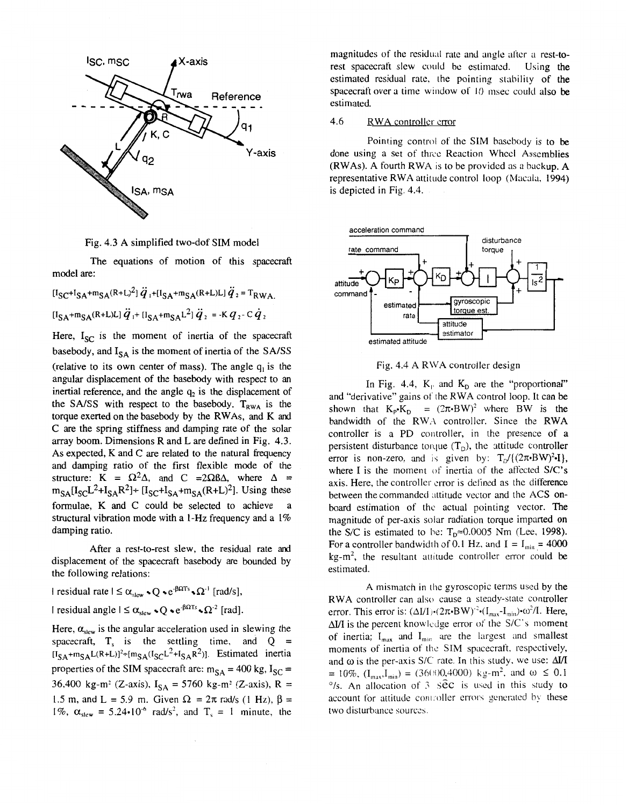<span id="page-5-0"></span>

Fig. 4.3 A simplified two-dof SIM model

The equations of motion of this spacecraft model are:

 $[I_{\text{SC}}+I_{\text{SA}}+m_{\text{SA}}(R+L)^{2}] \ddot{q}_{1}+[I_{\text{SA}}+m_{\text{SA}}(R+L)L] \ddot{q}_{2} = T_{\text{RWA}}$  $[I_{S_A}+m_{S_A}(R+L)L]\ddot{q}_1+ [I_{S_A}+m_{S_A}L^2]\ddot{q}_2 = -Kq_2-C\dot{q}_2$ 

Here,  $I_{SC}$  is the moment of inertia of the spacecraft basebody, and  $I_{SA}$  is the moment of inertia of the SA/SS (relative to its own center of mass). The angle **q,** is the angular displacement of the basebody with respect to an inertial reference, and the angle  $q<sub>2</sub>$  is the displacement of the SA/SS with respect to the basebody.  $T_{RWA}$  is the torque exerted on the basebody by the RWAs, and K and *C* are the spring stiffness and damping rate of the solar array boom. Dimensions R and L are defined in Fig. 4.3. As expected, **K** and *C* are related to the natural frequency and damping ratio of the first flexible mode of the structure:  $K = \Omega^2 \Delta$ , and  $C = 2\Omega \Delta \Delta$ , where  $\Delta =$  $m_{SA}$ [I<sub>SC</sub>L<sup>2</sup>+I<sub>SA</sub>R<sup>2</sup>]+ [I<sub>SC</sub>+I<sub>SA</sub>+ $m_{SA}$ (R+L)<sup>2</sup>]. Using these formulae, K and C could be selected to achieve structural vibration mode with a 1-Hz frequency and a 1% damping ratio.

After a rest-to-rest slew, the residual rate and displacement of the spacecraft basebody are bounded by the following relations:

 $\vert$  residual rate  $\vert \leq \alpha_{\text{slow}} \cdot Q \cdot e^{-\beta \Omega T s} \cdot \Omega^{-1}$  [rad/s],  $\vert$  residual angle  $\vert \leq \alpha_{\text{slow}} \cdot Q \cdot e^{-\beta \Omega T s} \cdot \Omega^2$  [rad].

Here,  $\alpha_{\text{slow}}$  is the angular acceleration used in slewing the spacecraft,  $T_s$  is the settling time, and  $Q =$  $[I_{SA}+m_{SA}L(R+L)]^2+[m_{SA}(I_{SC}L^2+I_{SA}R^2)]$ . Estimated inertia properties of the SIM spacecraft are:  $m_{SA} = 400$  kg,  $I_{SC} =$ 36,400 kg-m<sup>2</sup> (Z-axis),  $I_{SA} = 5760$  kg-m<sup>2</sup> (Z-axis), R = 1.5 m, and L = 5.9 m. Given  $\Omega = 2\pi$  rad/s (1 Hz),  $\beta =$ 1%,  $\alpha_{\text{skew}} = 5.24 \cdot 10^{-6} \text{ rad/s}^2$ , and  $T_s = 1 \text{ minute}$ , the

magnitudes of the residual rate and angle after a rest-torest pacecraft slew could be estimated. Using the estimated residual rate. the pointing stability of the spacecraft over a time window of 10 msec could also be estimated.

#### 4.6 RWA controller crror

Pointing control of the SIM basebody is to be done using a set of thrcc Reaction Wheel Assemblies (RWAs). A fourth RWA is to be provided *as* a backup. A representative RWA attitude control loop (Macalu, 1994) is depicted in Fig. 4.4.



Fig. 4.4 A RWA controller design

In Fig. 4.4,  $K_p$  and  $K_p$  are the "proportional" and "derivative" gains of the RWA control loop. It can be shown that  $K_p K_p = (2\pi \cdot BW)^2$  where BW is the bandwidth of the RWA controller. Since the RWA controller is a PD controller, in the presence of a persistent disturbance torque  $(T<sub>D</sub>)$ , the attitude controller error is non-zero, and is given by:  $T_D/((2\pi \cdot BW)^2 \cdot I)$ , where I is the moment of inertia of the affccted *S/C's*  axis. Here, the controller error is defined as the difference between the commanded attitude vector and the ACS onboard estimation of thc actual pointing vector. The magnitude of per-axis solar radiation torque imparted on the S/C is estimated to he:  $T_p \approx 0.0005$  Nm (Lee, 1998). For a controller bandwidth of 0.1 Hz, and  $I = I_{min} = 4000$  $kg-m<sup>2</sup>$ , the resultant attitude controller error could be estimated.

**A** mismatch in the gyroscopic terms used by the RWA controller can also cause a steady-stale controller error. This error is:  $(\Delta I/I) \cdot (2\pi \cdot BW)^{-2} \cdot (I_{max} - I_{min}) \cdot \omega^2/I$ . Here, *hI/I* is the percent knowledge error of the S/C's moment of inertia;  $I_{\text{max}}$  and  $I_{\text{min}}$  are the largest and smallest moments of inertia of the SIM spacecraft, respectively, and  $\omega$  is the per-axis S/C rate. In this study, we use:  $\Delta I/I$  $= 10\%, (\text{I}_{\text{max}},\text{I}_{\text{min}}) = (36000,4000) \text{ kg-m}^2$ , and  $\omega \le 0.1$ <sup>o</sup>/s. An allocation of 3 sec is used in this study to account for attitude controller errors generated by these two disturbance sources.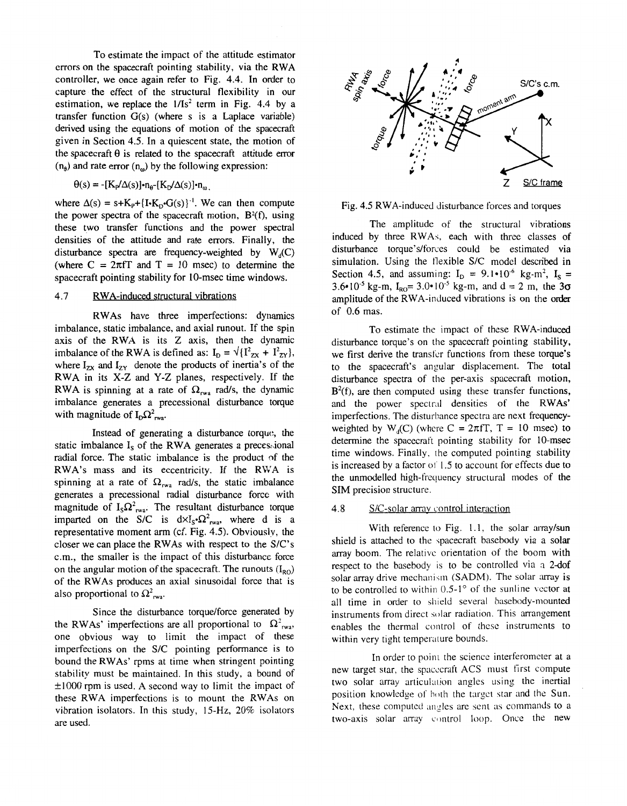To estimate the impact of the attitude estimator errors on the spacecraft pointing stability, via the RWA controller, we once again refer to [Fig.](#page-5-0) **4.4.** In order to capture the effect **of** the structural flexibility in our estimation, we replace the **1/Is2** term in [Fig.](#page-5-0) **4.4** by a transfer function *G(s)* (where *s* is a Laplace variable) derived using the equations of motion of the spacecraft given in Section **4.5.** In a quiescent state, the motion of the spacecraft *8* is related to the spacecraft attitude error  $(n_e)$  and rate error  $(n_e)$  by the following expression:

# $\Theta(s) = -\left[K_{p}/\Delta(s)\right] \cdot n_{\theta} - \left[K_{p}/\Delta(s)\right] \cdot n_{\omega}$ .

where  $\Delta(s) = s + K_p + {[\mathbf{I} \cdot \mathbf{K}_p \cdot \mathbf{G}(s)]}^{-1}$ . We can then compute the power spectra of the spacecraft motion,  $B^2(f)$ , using these two transfer functions and the power spectral densities of the attitude and rate errors. Finally, the disturbance spectra are frequency-weighted by  $W_d(C)$ (where  $C = 2\pi f T$  and  $T = 10$  msec) to determine the spacecraft pointing stability for 10-msec time windows.

## **4.7** RWA-induced structural vibrations

RWAs have three imperfections: dynamics imbalance, static imbalance, and axial runout. If the spin axis of the RWA is its Z axis, then the dynamic imbalance of the RWA is defined as:  $I_D = \sqrt{\frac{1^2}{2x} + \frac{1^2}{2y}}$ , where  $I_{zx}$  and  $I_{zy}$  denote the products of inertia's of the RWA in its X-Z and Y-Z planes, respectively. If the RWA is spinning at a rate of  $\Omega_{\text{rwa}}$  rad/s, the dynamic imbalance generates a precessional disturbance torque with magnitude of  $I_D\Omega_{\text{rw}}^2$ .

Instead of generating a disturbance torque, the static imbalance I<sub>s</sub> of the RWA generates a precessional radial force. The static imbalance is the product of the RWA's mass and its eccentricity. If the RWA is spinning at a rate of  $\Omega_{\text{rwa}}$  rad/s, the static imbalance generates a precessional radial disturbance force with magnitude of  $I_S\Omega_{\text{rwa}}^2$ . The resultant disturbance torque imparted on the S/C is  $d \times I_s \cdot \Omega_{rwa}^2$ , where d is a representative moment arm (cf. Fig. **4.5).** Obviouslv, the closer we can place the RWAs with respect to the *SIC'S*  c.m., the smaller is the impact of this disturbancc force on the angular motion of the spacecraft. The runouts  $(I_{RO})$ of the RWAs produces an axial sinusoidal force that is also proportional to  $\Omega^2_{\text{rwa}}$ .

Since the disturbance torque/force generated by the RWAs' imperfections are all proportional to  $\Omega^2$ <sub>rwa</sub>, one obvious way to limit the impact of these imperfections on the S/C pointing performance is to bound the RWAs' rpms at time when stringent pointing stability must be maintained. In this study, a bound of  $\pm 1000$  rpm is used. A second way to limit the impact of these RWA imperfections is to mount the RWAs on vibration isolators. In this study, 15-Hz. 20% isolators are used.



Fig. 4.5 RWA-induced disturbance forces and torques

The amplitude of the structural vibrations induced by three RWAs, each with three classes of disturbance torque's/forces could be estimated via simulation. Using the flexible S/C model described in Section 4.5, and assuming:  $I_D = 9.1 \cdot 10^{-6}$  kg-m<sup>2</sup>,  $I_S =$  $3.6 \cdot 10^{-5}$  kg-m,  $I_{\text{RO}} = 3.0 \cdot 10^{-5}$  kg-m, and d = 2 m, the  $3\sigma$ amplitude of the RWA-induced vibrations is on the order of 0.6 mas.

To estimate the impact of these RWA-induced disturbance torque's on the spacecraft pointing stability, we first derive the transfer functions from these torque's to the spacecraft's angular displacement. The total disturbance spectra of the per-axis spacecraft motion,  $B<sup>2</sup>(f)$ , are then computed using these transfer functions, and the power spectral densities of the RWAs' imperfections. The disturbance spectra are next frequencyweighted by  $W_d(C)$  (where  $C = 2\pi fT$ ,  $T = 10$  msec) to determine the spacecraft pointing stability for 10-msec time windows. Finally, the computed pointing stability is increased by a factor ot 1.5 to account for effects due to the unmodelled high-frequency structural modes of the **SIM** precision structure.

#### **4.8** S/C-solar array control interaction

With reference to [Fig. 1.1,](#page-1-0) the solar array/sun shield is attached to the spacecraft basebody via a solar array boom. The relative orientation of the boom with respect to the basebody is to be controlled via a 2-dof solar array drive mechanism (SADM). The solar array is to be controlled to within  $0.5-1^{\circ}$  of the sunline vector at all time in order to shield several basebody-mounted instruments from direct solar radiation. This arrangement enables the thermal control of these instruments to within very tight temperature bounds.

In order to point the science interferometer at a new target star, the spacecraft ACS must first compute two solar array articulation angles using the inertial position knowledge of hoth the target star and the Sun. Next, these computed angles are sent as commands to a two-axis solar array control loop. Once the new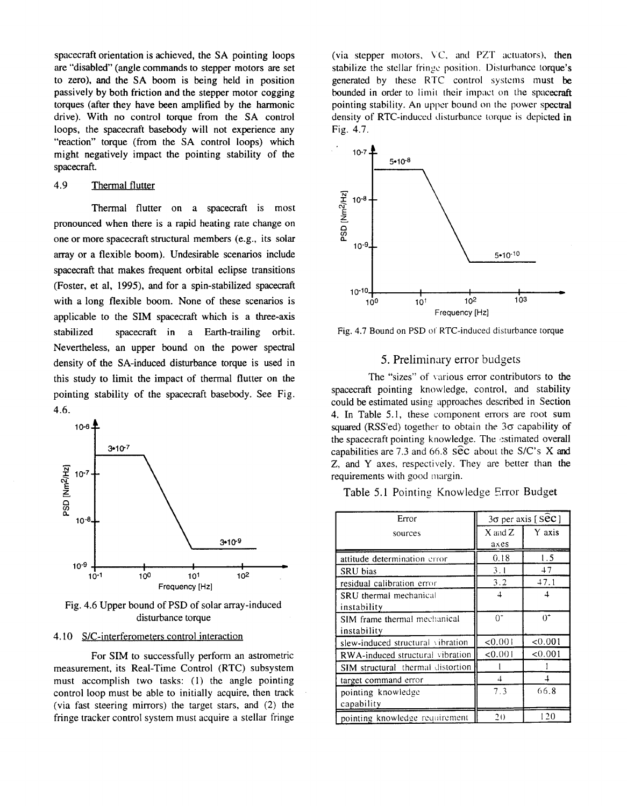spacecraft orientation is achieved, the SA pointing loops are "disabled" (angle commands to stepper motors are set to zero), and the **SA** boom is being held in position passively by both friction and the stepper motor cogging torques (after they have been amplified by the harmonic drive). With no control toque from the **SA** control loops, the spacecraft basebody will not experience any "reaction" torque (from the SA control loops) which might negatively impact the pointing stability *of* the spacecraft.

# **4.9** Thermal flutter

Thermal flutter on a spacecraft is most pronounced when there is a rapid heating rate change on one or more spacecraft structural members (e.g., its solar array or a flexible boom). Undesirable scenarios include spacecraft that makes frequent orbital eclipse transitions (Foster, et al, **1995),** and for a spin-stabilized spacecraft with a long flexible boom. None of these scenarios is applicable to the **SIM** spacecraft which is a three-axis stabilized spacecraft in a Earth-trailing orbit. Nevertheless, an upper bound on the power spectral density of the SA-induced disturbance torque is used in this study to limit the impact of thermal flutter on the pointing stability of the spacecraft basebody. See Fig. **4.6.** 



Fig. 4.6 Upper bound of PSD of solar array-induced disturbance torque

#### 4.10 S/C-interferometers control interaction

For **SIM** to successfully perform an astrometric measurement, its Real-Time Control (RTC) subsystem must accomplish two tasks: (1) the angle pointing control loop must be able to initially acquire, then track (via fast steering mirrors) the target stars, and (2) the fringe tracker control system must acquire a stellar fringe

(via stepper motors,  $VC$ , and  $PZT$  actuators), then stabilize the stellar fringe position. Disturbance torque's generated by these RTC control systems must be bounded in order to limit their impact on the spacecraft pointing stability. An upper bound on the power spectral density of RTC-induced disturbance torque is depicted in Fig. 4.7.



Fig. 4.7 Bound on PSD of RTC-induced disturbance torque

#### 5. Prelimindry error budgets

The "sizes" of various error contributors to the spacecraft pointing knowledge, control, and stability could be estimated using approaches described in Section **4.** In Table 5.1, these component errors are root sum squared (RSS'ed) together to obtain the  $3\sigma$  capability of the spacecraft pointing knowledge. The estimated overall capabilities are 7.3 and 66.8 **S**ec about the S/C's X and Z, and Y axes, respectively. They are better than the requirements with good margin.

Table 5.1 Pointing Knowledge Error Budget

| Error                               | 3σ per axis [Sec] |         |
|-------------------------------------|-------------------|---------|
| sources                             | $X$ and $Z$       | Y axis  |
|                                     | axes              |         |
| attitude determination error        | 0.18              | 1.5     |
| SRU bias                            | 3.1               | 47      |
| residual calibration error          | 3.2               | 47.1    |
| <b>SRU</b> thermal mechanical       | $\overline{4}$    | 4       |
| instability                         |                   |         |
| <b>SIM</b> frame thermal mechanical | $0^*$             | $0^+$   |
| instability                         |                   |         |
| slew-induced structural vibration   | < 0.001           | < 0.001 |
| RWA-induced structural vibration    | < 0.001           | < 0.001 |
| SIM structural thermal distortion   |                   |         |
| target command error                | 4                 | 4       |
| pointing knowledge                  | 7.3               | 66.8    |
| capability                          |                   |         |
| pointing knowledge requirement      | 20                | -20     |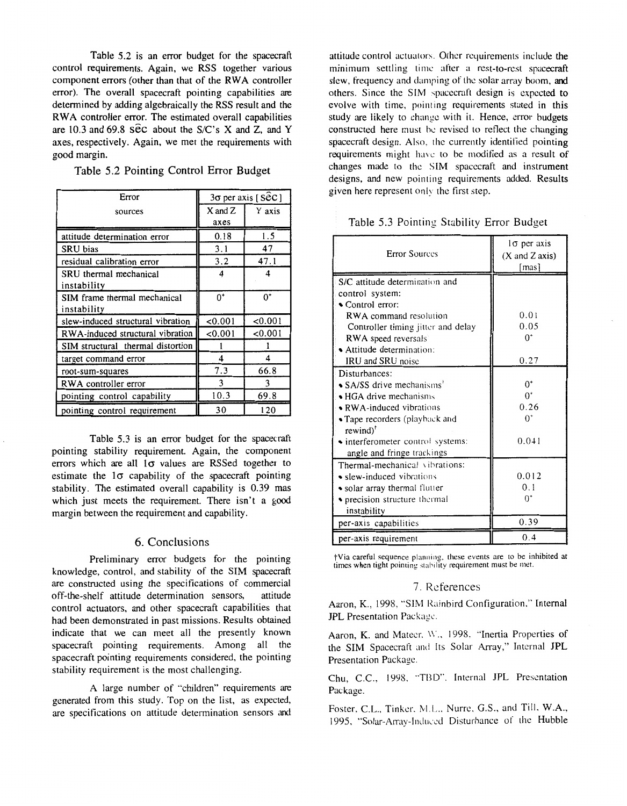Table **5.2** is an error budget for the spacecraft control requirements. Again, we RSS together various component errors (other than that of the RWA controller error). The overall spacecraft pointing capabilities are determined by adding algebraically the RSS result and the RWA controller error. The estimated overall capabilities are **10.3** and 69.8 *SEC* about the *S/C's* X and Z, and Y axes, respectively. Again, we met the requirements with good margin.

Table 5.2 Pointing Control Error Budget

| Error                             | $3\sigma$ per axis [SeC] |         |
|-----------------------------------|--------------------------|---------|
| sources                           | X and Z                  | Y axis  |
|                                   | axes                     |         |
| attitude determination error      | 0.18                     | 1.5     |
| SRU bias                          | 3.1                      | 47      |
| residual calibration error        | 3.2                      | 47.1    |
| SRU thermal mechanical            | 4                        | 4       |
| instability                       |                          |         |
| SIM frame thermal mechanical      | $0^*$                    | $0^*$   |
| instability                       |                          |         |
| slew-induced structural vibration | < 0.001                  | < 0.001 |
| RWA-induced structural vibration  | < 0.001                  | 0.001   |
| SIM structural thermal distortion |                          |         |
| target command error              | 4                        | 4       |
| root-sum-squares                  | 7.3                      | 66.8    |
| RWA controller error              | 3                        | 3       |
| pointing control capability       | 10.3                     | 69.8    |
| pointing control requirement      | 30                       | 120     |

π

Table **5.3** is an error budget for the spacecraft pointing stability requirement. Again, the component errors which are all  $1\sigma$  values are RSSed together to estimate the  $1\sigma$  capability of the spacecraft pointing stability. The estimated overall capability is 0.39 mas which just meets the requirement. There isn't a good margin between the requirement and capability.

### 6. Conclusions

Preliminary error budgets for the pointing knowledge, control, and stability of the **SIM** spacecraft are constructed using the specifications of commercial<br>off-the-shelf attitude determination sensors, attitude off-the-shelf attitude determination sensors, control actuators, and other spacecraft capabilities that had been demonstrated in past missions. Results obtained indicate that we can meet all the presently known spacecraft pointing requirements. Among all the spacecraft pointing requirements considered, the pointing stability requirement is the most challenging.

A large number of "children" requirements *m*  generated from this study. Top on the list, as expected, are specifications on attitude determination sensors and attitude control actuators. Other requirements include the minimum settling time after a rest-to-rest spacecraft slew, frequency and damping of the solar array boom, and others. Since the SIM spacecraft design is expected to evolve with time, pointing requirements stated in this study are likely to change with it. Hence, error budgets constructed here must be revised to reflect the changing spacecraft design. **Also.** the currently identified pointing requirements might have to be modified as a result of changes made to the SIM spacecraft and instrument designs, and new pointing requircments added. Results given here represent only the first step.

## Table 5.3 Pointing Stability Error Budget

| <b>Error Sources</b>                          | lσ per axis<br>(X and Z axis)<br>[mas] |
|-----------------------------------------------|----------------------------------------|
| S/C attitude determination and                |                                        |
| control system:                               |                                        |
| $\sim$ Control error:                         |                                        |
| RWA command resolution                        | 0.01                                   |
| Controller timing jitter and delay            | 0.05                                   |
| RWA speed reversals                           | $0^*$                                  |
| $\blacktriangleright$ Attitude determination: |                                        |
| <b>IRU</b> and <b>SRU</b> noise               | 0.27                                   |
| Disturbances:                                 |                                        |
| • SA/SS drive mechanisms <sup>*</sup>         | $0^*$                                  |
| $\blacktriangleright$ HGA drive mechanisms    | $0^*$                                  |
| $\bullet$ RWA-induced vibrations              | 0.26                                   |
| • Tape recorders (playback and                | $0^*$                                  |
| $rewind)$ <sup>†</sup>                        |                                        |
| • interferometer control systems:             | 0.041                                  |
| angle and fringe trackings                    |                                        |
| Thermal-mechanical vibrations:                |                                        |
| • slew-induced vibrations                     | 0.012                                  |
| • solar array thermal flutter                 | 0.1                                    |
| • precision structure thermal                 | 0,                                     |
| instability                                   |                                        |
| per-axis capabilities                         | 0.39                                   |
| per-axis requirement                          | 0.4                                    |

?Via careful sequence planning, these events **are** to be inhibited at times when tight pointing stability requirement must be met.

## 7. References

Aaron, K., 1998, "SIM Rainbird Configuration," Internal JPL Presentation Packagc.

Aaron, K. and Mateer. W., 1998. "Inertia Properties of the SIM Spacecraft and Its Solar Array," Internal JPL Presentation Package.

Chu, C.C., 1998, "TBD". Internal JPL Presentation Package.

Foster, C.L., Tinkcr. M.lz., Nurrc. G.S., and Till, **W.A.,**  1995, "Solar-Array-Induced Disturbance of the Hubble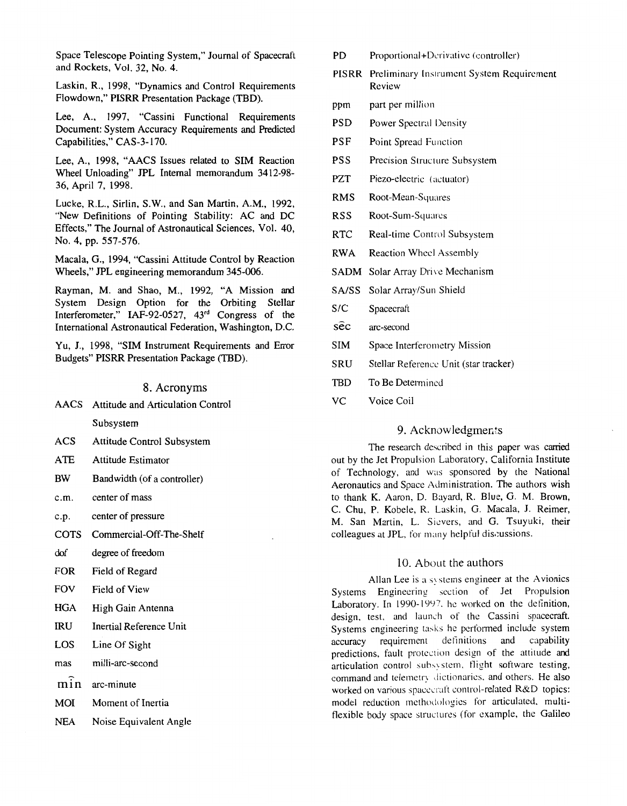Space Telescope Pointing System," Journal of Spacecraft and Rockets, Vol. 32, No. 4.

Laskin, R., 1998, "Dynamics and Control Requirements Flowdown," PISRR Presentation Package (TBD).

Lee, A., 1997, "Cassini Functional Requirements Document: System Accuracy Requirements and Predicted Capabilities," CAS-3- 170.

Lee, A., 1998, "AACS Issues related to SIM Reaction Wheel Unloading" JPL Internal memorandum 3412-98- 36, April 7, 1998.

Lucke, R.L., Sirlin, S.W., and San Martin, A.M., 1992, "New Definitions of Pointing Stability: AC and DC Effects," The Journal of Astronautical Sciences, Vol. 40, NO. 4, pp. 557-576.

Macala, *G.,* 1994, "Cassini Attitude Control by Reaction Wheels," *JPL* engineering memorandum 345-006.

Rayman, M. and Shao, M., 1992, "A Mission and System Design Option for the Orbiting Stellar Interferometer," IAF-92-0527, 43rd Congress of the International Astronautical Federation, Washington, D.C.

**Yu, J.,** 1998, "SIM Instrument Requirements and Error Budgets" PISRR Presentation Package (TBD).

# **8.** Acronyms

AACS Attitude and Articulation Control

Subsystem

- ACS Attitude Control Subsystem
- ATE Attitude Estimator
- BW Bandwidth (of a controller)
- c.m. center of mass
- c.p. center of pressure
- COTS Commercial-Off-The-Shelf
- dof degree of freedom
- FOR Field of Regard
- FOV Field of View
- **HGA** High Gain Antenna
- IRU Inertial Reference Unit
- LOS Line Of Sight
- mas ։<br>: milli-arc-second
- min arc-minute
- MOI Moment of Inertia
- NEA Noise Equivalent Angle
- PD Proportional+Derivative (controller)
- PISRR Preliminary Instrument System Requirement Review
- ppm part per million
- PSD Power Spectral Density
- PSF Point Spread Function
- PSS Precision Structure Subsystem
- PZT Piezo-electric (actuator)
- RMS Root-Mean-Squares
- RSS Root-Sum-Squares
- RTC Real-time Control Subsystem
- RWA Reaction Whccl Assembly
- SADM Solar Array Drive Mechanism
- SA/SS Solar Array/Sun Shield
- S/C Spacecraft
- **S** $\hat{e}c$  arc-second
- SIM Space Interferometry Mission
- SRU Stellar Referencc Unit (star tracker)
- TBD To Be Determined
- VC Voice Coil

## 9. Acknowledgments

The research described in this paper was carried out by the Jet Propulsion Laboratory, California Institute of Technology, and was sponsored by the National Aeronautics and Space Administration. The authors wish to thank K. Aaron, D. Buyard, R. Blue, G. M. Brown, C. Chu, P. Kobele, R. Laskin, G. Macala, J. Reimer, M. San Martin, L. Sicvers, and G. Tsuyuki, their colleagues at JPL, for many helpful discussions.

# 10. About the authors

Allan Lee is a *5)* stems engineer at the Avionics Systems Engineering section of Jet Propulsion Laboratory. In 1990-1997, he worked on the definition, design, test, and launch of the Cassini spacecraft. Systems engineering tasks he performed include system accuracy requirement detinitions and capability predictions, fault protection design of the attitude and articulation control subsystem, flight software testing, command and telemetry dictionaries, and others. He also worked on various spacecraft control-related R&D topics: model reduction methodologies for articulated. multiflexible body space structures (for example, the Galileo